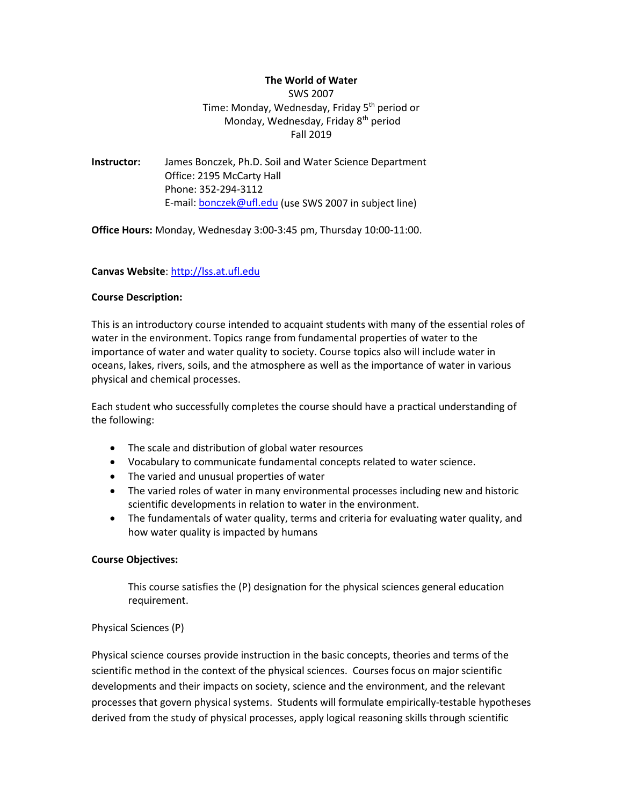# **The World of Water**

SWS 2007 Time: Monday, Wednesday, Friday 5<sup>th</sup> period or Monday, Wednesday, Friday 8<sup>th</sup> period Fall 2019

**Instructor:** James Bonczek, Ph.D. Soil and Water Science Department Office: 2195 McCarty Hall Phone: 352-294-3112 E-mail: [bonczek@ufl.edu](mailto:bonczek@ufl.edu) (use SWS 2007 in subject line)

**Office Hours:** Monday, Wednesday 3:00-3:45 pm, Thursday 10:00-11:00.

### **Canvas Website**: [http://lss.at.ufl.edu](http://lss.at.ufl.edu/)

### **Course Description:**

This is an introductory course intended to acquaint students with many of the essential roles of water in the environment. Topics range from fundamental properties of water to the importance of water and water quality to society. Course topics also will include water in oceans, lakes, rivers, soils, and the atmosphere as well as the importance of water in various physical and chemical processes.

Each student who successfully completes the course should have a practical understanding of the following:

- The scale and distribution of global water resources
- Vocabulary to communicate fundamental concepts related to water science.
- The varied and unusual properties of water
- The varied roles of water in many environmental processes including new and historic scientific developments in relation to water in the environment.
- The fundamentals of water quality, terms and criteria for evaluating water quality, and how water quality is impacted by humans

### **Course Objectives:**

This course satisfies the (P) designation for the physical sciences general education requirement.

### Physical Sciences (P)

Physical science courses provide instruction in the basic concepts, theories and terms of the scientific method in the context of the physical sciences. Courses focus on major scientific developments and their impacts on society, science and the environment, and the relevant processes that govern physical systems. Students will formulate empirically-testable hypotheses derived from the study of physical processes, apply logical reasoning skills through scientific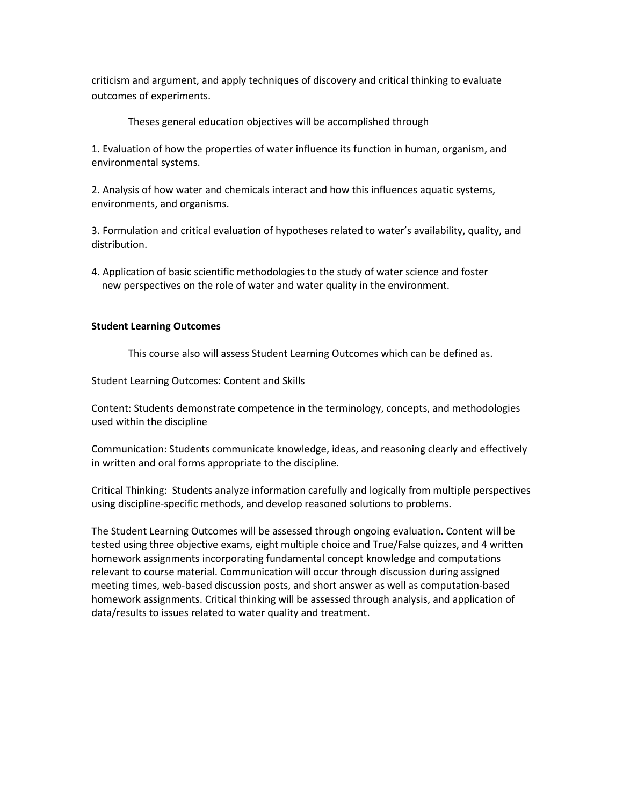criticism and argument, and apply techniques of discovery and critical thinking to evaluate outcomes of experiments.

Theses general education objectives will be accomplished through

1. Evaluation of how the properties of water influence its function in human, organism, and environmental systems.

2. Analysis of how water and chemicals interact and how this influences aquatic systems, environments, and organisms.

3. Formulation and critical evaluation of hypotheses related to water's availability, quality, and distribution.

4. Application of basic scientific methodologies to the study of water science and foster new perspectives on the role of water and water quality in the environment.

# **Student Learning Outcomes**

This course also will assess Student Learning Outcomes which can be defined as.

Student Learning Outcomes: Content and Skills

Content: Students demonstrate competence in the terminology, concepts, and methodologies used within the discipline

Communication: Students communicate knowledge, ideas, and reasoning clearly and effectively in written and oral forms appropriate to the discipline.

Critical Thinking: Students analyze information carefully and logically from multiple perspectives using discipline-specific methods, and develop reasoned solutions to problems.

The Student Learning Outcomes will be assessed through ongoing evaluation. Content will be tested using three objective exams, eight multiple choice and True/False quizzes, and 4 written homework assignments incorporating fundamental concept knowledge and computations relevant to course material. Communication will occur through discussion during assigned meeting times, web-based discussion posts, and short answer as well as computation-based homework assignments. Critical thinking will be assessed through analysis, and application of data/results to issues related to water quality and treatment.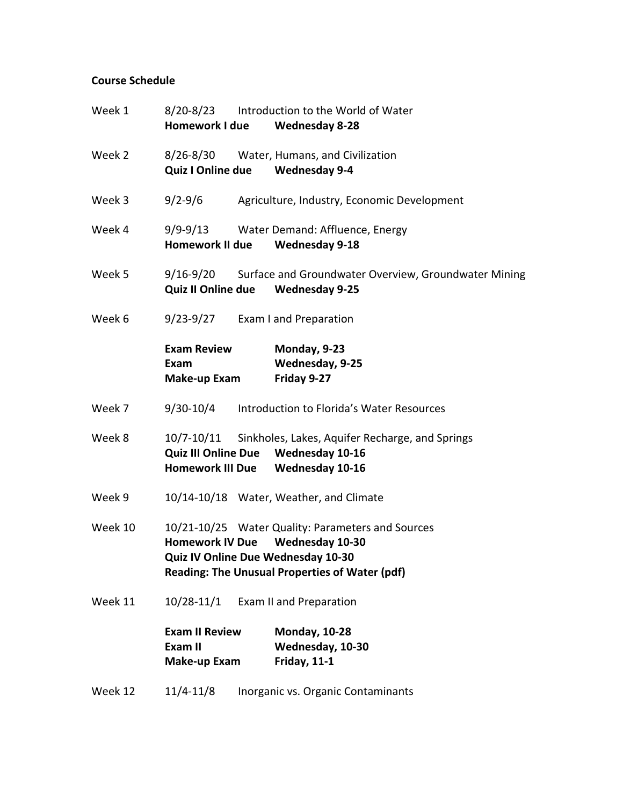# **Course Schedule**

| Week 1  | 8/20-8/23<br><b>Homework I due</b>                           | Introduction to the World of Water<br><b>Wednesday 8-28</b>                                                                   |
|---------|--------------------------------------------------------------|-------------------------------------------------------------------------------------------------------------------------------|
| Week 2  | $8/26 - 8/30$<br>Quiz I Online due Wednesday 9-4             | Water, Humans, and Civilization                                                                                               |
| Week 3  | $9/2 - 9/6$                                                  | Agriculture, Industry, Economic Development                                                                                   |
| Week 4  | $9/9 - 9/13$<br><b>Homework II due</b>                       | Water Demand: Affluence, Energy<br><b>Wednesday 9-18</b>                                                                      |
| Week 5  | 9/16-9/20<br>Quiz II Online due Wednesday 9-25               | Surface and Groundwater Overview, Groundwater Mining                                                                          |
| Week 6  | $9/23-9/27$                                                  | Exam I and Preparation                                                                                                        |
|         | <b>Exam Review</b><br>Exam<br>Make-up Exam                   | Monday, 9-23<br>Wednesday, 9-25<br>Friday 9-27                                                                                |
| Week 7  | $9/30 - 10/4$                                                | Introduction to Florida's Water Resources                                                                                     |
| Week 8  | <b>Quiz III Online Due</b><br><b>Homework III Due</b>        | 10/7-10/11 Sinkholes, Lakes, Aquifer Recharge, and Springs<br>Wednesday 10-16<br>Wednesday 10-16                              |
| Week 9  |                                                              | 10/14-10/18 Water, Weather, and Climate                                                                                       |
| Week 10 | <b>Homework IV Due</b><br>Quiz IV Online Due Wednesday 10-30 | 10/21-10/25 Water Quality: Parameters and Sources<br>Wednesday 10-30<br><b>Reading: The Unusual Properties of Water (pdf)</b> |
| Week 11 | $10/28 - 11/1$                                               | Exam II and Preparation                                                                                                       |
|         | <b>Exam II Review</b><br>Exam II<br>Make-up Exam             | <b>Monday, 10-28</b><br>Wednesday, 10-30<br><b>Friday, 11-1</b>                                                               |
| Week 12 | $11/4 - 11/8$                                                | Inorganic vs. Organic Contaminants                                                                                            |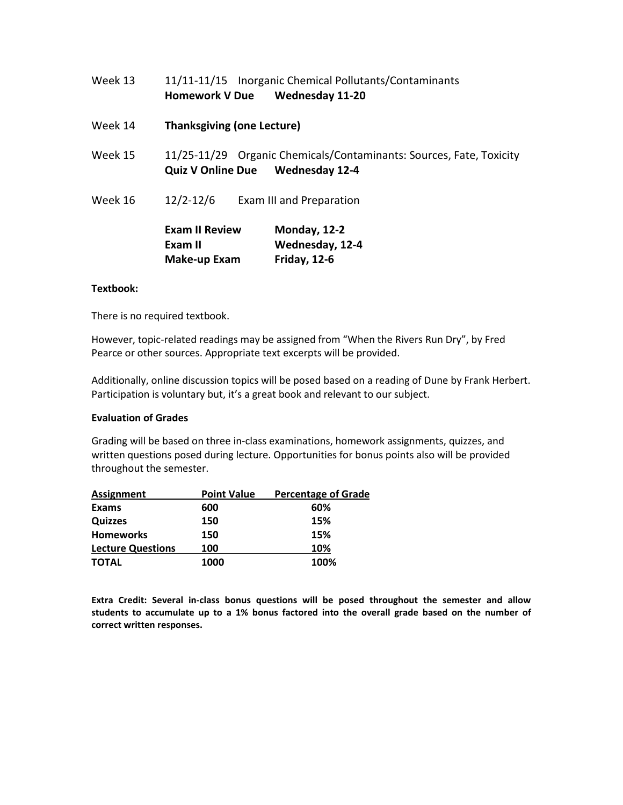|         | <b>Exam II Review</b><br>Exam II<br>Make-up Exam | Monday, 12-2<br>Wednesday, 12-4<br><b>Friday, 12-6</b>                           |
|---------|--------------------------------------------------|----------------------------------------------------------------------------------|
| Week 16 | $12/2 - 12/6$                                    | Exam III and Preparation                                                         |
| Week 15 | <b>Quiz V Online Due Wednesday 12-4</b>          | 11/25-11/29 Organic Chemicals/Contaminants: Sources, Fate, Toxicity              |
| Week 14 | <b>Thanksgiving (one Lecture)</b>                |                                                                                  |
| Week 13 | <b>Homework V Due</b>                            | 11/11-11/15 Inorganic Chemical Pollutants/Contaminants<br><b>Wednesday 11-20</b> |

### **Textbook:**

There is no required textbook.

However, topic-related readings may be assigned from "When the Rivers Run Dry", by Fred Pearce or other sources. Appropriate text excerpts will be provided.

Additionally, online discussion topics will be posed based on a reading of Dune by Frank Herbert. Participation is voluntary but, it's a great book and relevant to our subject.

### **Evaluation of Grades**

Grading will be based on three in-class examinations, homework assignments, quizzes, and written questions posed during lecture. Opportunities for bonus points also will be provided throughout the semester.

| <b>Assignment</b>        | <b>Point Value</b> | <b>Percentage of Grade</b> |  |
|--------------------------|--------------------|----------------------------|--|
| <b>Exams</b>             | 600                | 60%                        |  |
| <b>Quizzes</b>           | 150                | 15%                        |  |
| <b>Homeworks</b>         | 150                | 15%                        |  |
| <b>Lecture Questions</b> | 100                | 10%                        |  |
| <b>TOTAL</b>             | 1000               | 100%                       |  |

**Extra Credit: Several in-class bonus questions will be posed throughout the semester and allow students to accumulate up to a 1% bonus factored into the overall grade based on the number of correct written responses.**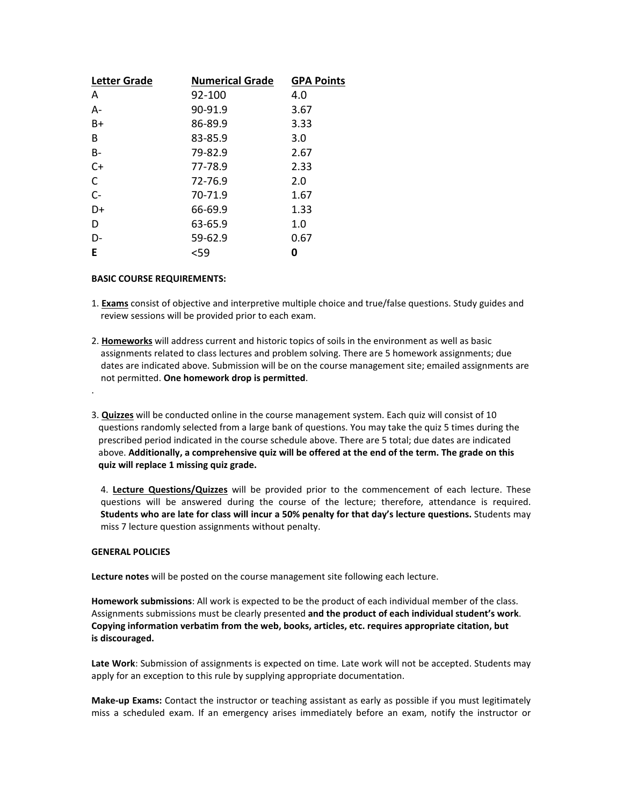| <b>Letter Grade</b> | <b>Numerical Grade</b> | <b>GPA Points</b> |
|---------------------|------------------------|-------------------|
| A                   | 92-100                 | 4.0               |
| A-                  | 90-91.9                | 3.67              |
| B+                  | 86-89.9                | 3.33              |
| B                   | 83-85.9                | 3.0               |
| B-                  | 79-82.9                | 2.67              |
| $C+$                | 77-78.9                | 2.33              |
| C                   | 72-76.9                | 2.0               |
| $C -$               | 70-71.9                | 1.67              |
| D+                  | 66-69.9                | 1.33              |
| D                   | 63-65.9                | 1.0               |
| D-                  | 59-62.9                | 0.67              |
| E                   | <59                    | 0                 |

#### **BASIC COURSE REQUIREMENTS:**

- 1. **Exams** consist of objective and interpretive multiple choice and true/false questions. Study guides and review sessions will be provided prior to each exam.
- 2. **Homeworks** will address current and historic topics of soils in the environment as well as basic assignments related to class lectures and problem solving. There are 5 homework assignments; due dates are indicated above. Submission will be on the course management site; emailed assignments are not permitted. **One homework drop is permitted**.
- 3. **Quizzes** will be conducted online in the course management system. Each quiz will consist of 10 questions randomly selected from a large bank of questions. You may take the quiz 5 times during the prescribed period indicated in the course schedule above. There are 5 total; due dates are indicated above. **Additionally, a comprehensive quiz will be offered at the end of the term. The grade on this quiz will replace 1 missing quiz grade.**

4. **Lecture Questions/Quizzes** will be provided prior to the commencement of each lecture. These questions will be answered during the course of the lecture; therefore, attendance is required. **Students who are late for class will incur a 50% penalty for that day's lecture questions.** Students may miss 7 lecture question assignments without penalty.

#### **GENERAL POLICIES**

.

**Lecture notes** will be posted on the course management site following each lecture.

**Homework submissions**: All work is expected to be the product of each individual member of the class. Assignments submissions must be clearly presented **and the product of each individual student's work**. **Copying information verbatim from the web, books, articles, etc. requires appropriate citation, but is discouraged.**

**Late Work**: Submission of assignments is expected on time. Late work will not be accepted. Students may apply for an exception to this rule by supplying appropriate documentation.

**Make-up Exams:** Contact the instructor or teaching assistant as early as possible if you must legitimately miss a scheduled exam. If an emergency arises immediately before an exam, notify the instructor or